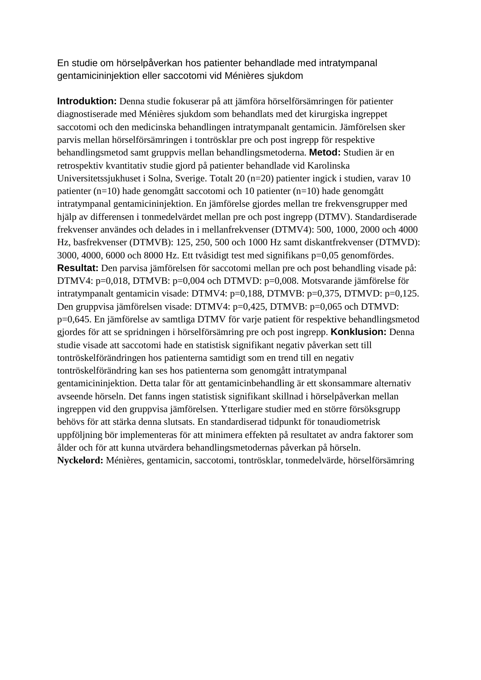En studie om hörselpåverkan hos patienter behandlade med intratympanal gentamicininjektion eller saccotomi vid Ménières sjukdom

**Introduktion:** Denna studie fokuserar på att jämföra hörselförsämringen för patienter diagnostiserade med Ménières sjukdom som behandlats med det kirurgiska ingreppet saccotomi och den medicinska behandlingen intratympanalt gentamicin. Jämförelsen sker parvis mellan hörselförsämringen i tontrösklar pre och post ingrepp för respektive behandlingsmetod samt gruppvis mellan behandlingsmetoderna. **Metod:** Studien är en retrospektiv kvantitativ studie gjord på patienter behandlade vid Karolinska Universitetssjukhuset i Solna, Sverige. Totalt 20 (n=20) patienter ingick i studien, varav 10 patienter (n=10) hade genomgått saccotomi och 10 patienter (n=10) hade genomgått intratympanal gentamicininjektion. En jämförelse gjordes mellan tre frekvensgrupper med hjälp av differensen i tonmedelvärdet mellan pre och post ingrepp (DTMV). Standardiserade frekvenser användes och delades in i mellanfrekvenser (DTMV4): 500, 1000, 2000 och 4000 Hz, basfrekvenser (DTMVB): 125, 250, 500 och 1000 Hz samt diskantfrekvenser (DTMVD): 3000, 4000, 6000 och 8000 Hz. Ett tvåsidigt test med signifikans p=0,05 genomfördes. **Resultat:** Den parvisa jämförelsen för saccotomi mellan pre och post behandling visade på: DTMV4: p=0,018, DTMVB: p=0,004 och DTMVD: p=0,008. Motsvarande jämförelse för intratympanalt gentamicin visade: DTMV4: p=0,188, DTMVB: p=0,375, DTMVD: p=0,125. Den gruppvisa jämförelsen visade: DTMV4: p=0,425, DTMVB: p=0,065 och DTMVD: p=0,645. En jämförelse av samtliga DTMV för varje patient för respektive behandlingsmetod gjordes för att se spridningen i hörselförsämring pre och post ingrepp. **Konklusion:** Denna studie visade att saccotomi hade en statistisk signifikant negativ påverkan sett till tontröskelförändringen hos patienterna samtidigt som en trend till en negativ tontröskelförändring kan ses hos patienterna som genomgått intratympanal gentamicininjektion. Detta talar för att gentamicinbehandling är ett skonsammare alternativ avseende hörseln. Det fanns ingen statistisk signifikant skillnad i hörselpåverkan mellan ingreppen vid den gruppvisa jämförelsen. Ytterligare studier med en större försöksgrupp behövs för att stärka denna slutsats. En standardiserad tidpunkt för tonaudiometrisk uppföljning bör implementeras för att minimera effekten på resultatet av andra faktorer som ålder och för att kunna utvärdera behandlingsmetodernas påverkan på hörseln. **Nyckelord:** Ménières, gentamicin, saccotomi, tontrösklar, tonmedelvärde, hörselförsämring